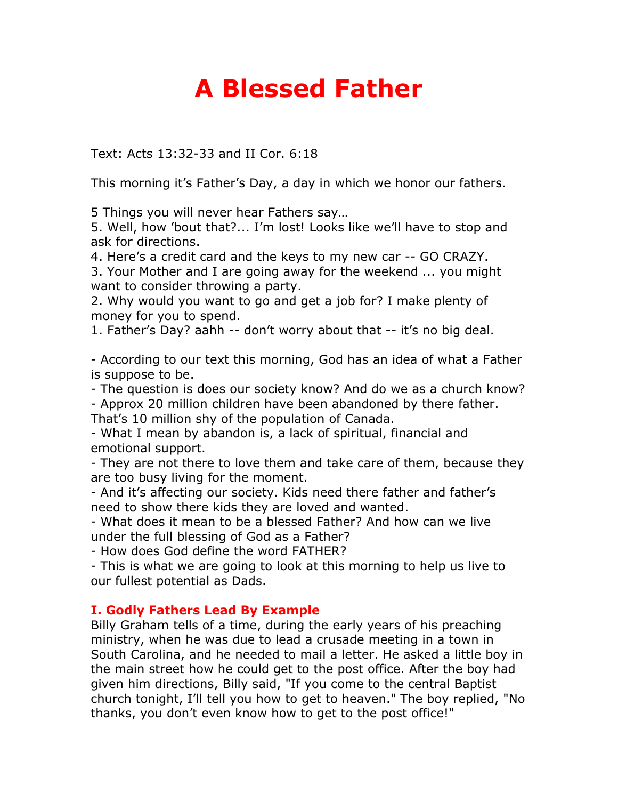## **A Blessed Father**

Text: Acts 13:32-33 and II Cor. 6:18

This morning it's Father's Day, a day in which we honor our fathers.

5 Things you will never hear Fathers say…

5. Well, how 'bout that?... I'm lost! Looks like we'll have to stop and ask for directions.

4. Here's a credit card and the keys to my new car -- GO CRAZY.

3. Your Mother and I are going away for the weekend ... you might want to consider throwing a party.

2. Why would you want to go and get a job for? I make plenty of money for you to spend.

1. Father's Day? aahh -- don't worry about that -- it's no big deal.

- According to our text this morning, God has an idea of what a Father is suppose to be.

- The question is does our society know? And do we as a church know?

- Approx 20 million children have been abandoned by there father.

That's 10 million shy of the population of Canada.

- What I mean by abandon is, a lack of spiritual, financial and emotional support.

- They are not there to love them and take care of them, because they are too busy living for the moment.

- And it's affecting our society. Kids need there father and father's need to show there kids they are loved and wanted.

- What does it mean to be a blessed Father? And how can we live under the full blessing of God as a Father?

- How does God define the word FATHER?

- This is what we are going to look at this morning to help us live to our fullest potential as Dads.

## **I. Godly Fathers Lead By Example**

Billy Graham tells of a time, during the early years of his preaching ministry, when he was due to lead a crusade meeting in a town in South Carolina, and he needed to mail a letter. He asked a little boy in the main street how he could get to the post office. After the boy had given him directions, Billy said, "If you come to the central Baptist church tonight, I'll tell you how to get to heaven." The boy replied, "No thanks, you don't even know how to get to the post office!"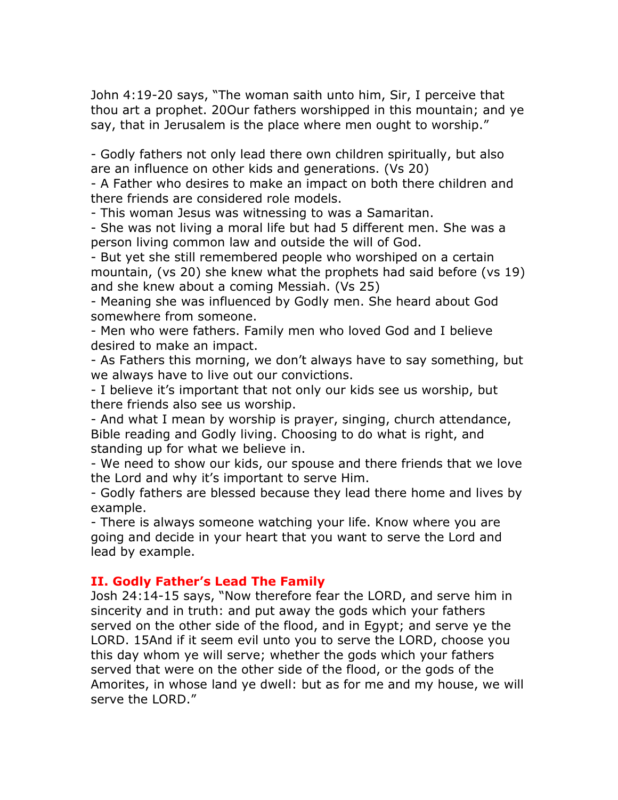John 4:19-20 says, "The woman saith unto him, Sir, I perceive that thou art a prophet. 20Our fathers worshipped in this mountain; and ye say, that in Jerusalem is the place where men ought to worship."

- Godly fathers not only lead there own children spiritually, but also are an influence on other kids and generations. (Vs 20)

- A Father who desires to make an impact on both there children and there friends are considered role models.

- This woman Jesus was witnessing to was a Samaritan.

- She was not living a moral life but had 5 different men. She was a person living common law and outside the will of God.

- But yet she still remembered people who worshiped on a certain mountain, (vs 20) she knew what the prophets had said before (vs 19) and she knew about a coming Messiah. (Vs 25)

- Meaning she was influenced by Godly men. She heard about God somewhere from someone.

- Men who were fathers. Family men who loved God and I believe desired to make an impact.

- As Fathers this morning, we don't always have to say something, but we always have to live out our convictions.

- I believe it's important that not only our kids see us worship, but there friends also see us worship.

- And what I mean by worship is prayer, singing, church attendance, Bible reading and Godly living. Choosing to do what is right, and standing up for what we believe in.

- We need to show our kids, our spouse and there friends that we love the Lord and why it's important to serve Him.

- Godly fathers are blessed because they lead there home and lives by example.

- There is always someone watching your life. Know where you are going and decide in your heart that you want to serve the Lord and lead by example.

## **II. Godly Father's Lead The Family**

Josh 24:14-15 says, "Now therefore fear the LORD, and serve him in sincerity and in truth: and put away the gods which your fathers served on the other side of the flood, and in Egypt; and serve ye the LORD. 15And if it seem evil unto you to serve the LORD, choose you this day whom ye will serve; whether the gods which your fathers served that were on the other side of the flood, or the gods of the Amorites, in whose land ye dwell: but as for me and my house, we will serve the LORD."